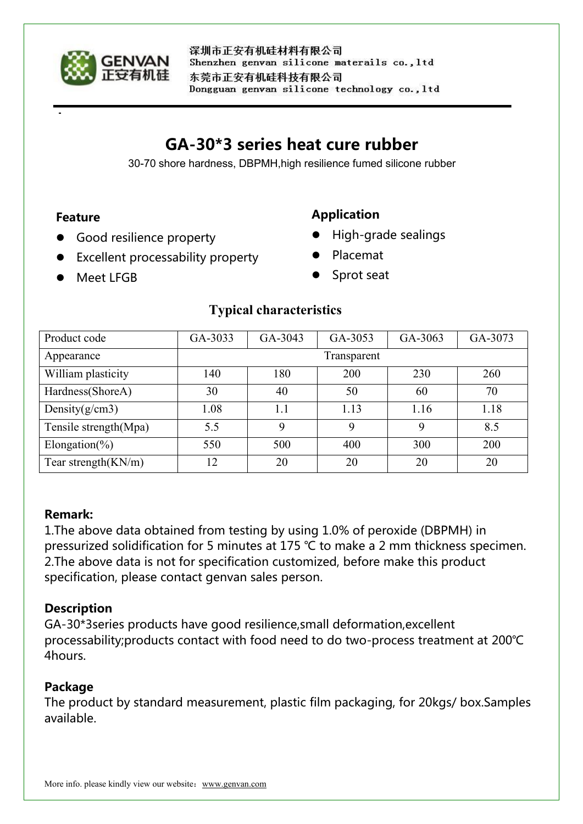

# **GA-30\*3 series heat cure rubber**

30-70 shore hardness, DBPMH,high resilience fumed silicone rubber

#### **Feature**

**•** Good resilience property

# **Application**

- High-grade sealings
- Excellent processability property
- Placemat

**O** Meet LEGB

Sprot seat

## **Typical characteristics**

| Product code           | GA-3033     | GA-3043 | GA-3053 | GA-3063 | GA-3073 |
|------------------------|-------------|---------|---------|---------|---------|
| Appearance             | Transparent |         |         |         |         |
| William plasticity     | 140         | 180     | 200     | 230     | 260     |
| Hardness(ShoreA)       | 30          | 40      | 50      | 60      | 70      |
| Density $(g/cm3)$      | 1.08        | 1.1     | 1.13    | 1.16    | 1.18    |
| Tensile strength(Mpa)  | 5.5         | Q       | 9       | Q       | 8.5     |
| Elongation(%)          | 550         | 500     | 400     | 300     | 200     |
| Tear strength $(KN/m)$ | 12          | 20      | 20      | 20      | 20      |

#### **Remark:**

1.The above data obtained from testing by using 1.0% of peroxide (DBPMH) in pressurized solidification for 5 minutes at 175 ℃ to make a 2 mm thickness specimen. 2. The above data is not for specification customized, before make this product specification, please contact genvan sales person.

# **Description**

GA-30\*3series products have good resilience,small deformation,excellent processability;products contact with food need to do two-process treatment at 200℃ 4hours.

#### **Package**

The product by standard measurement, plastic film packaging, for 20kgs/ box.Samples available.